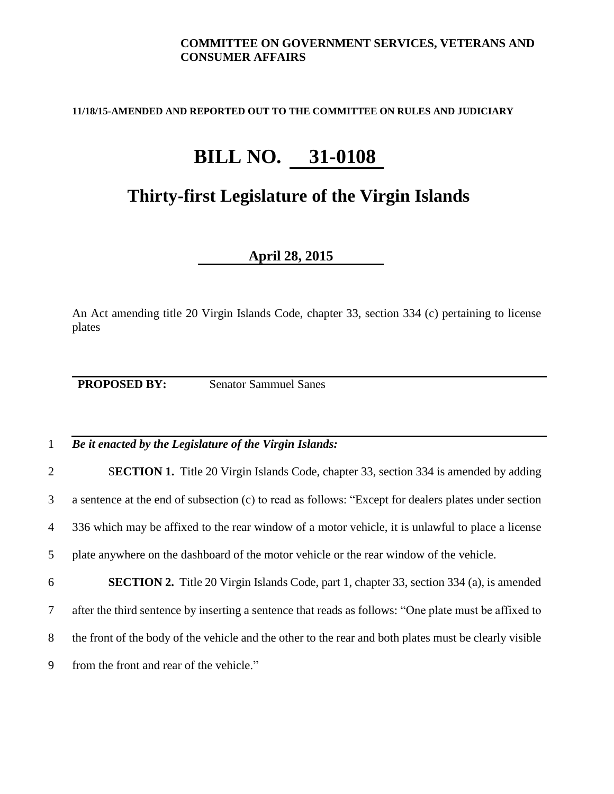## **COMMITTEE ON GOVERNMENT SERVICES, VETERANS AND CONSUMER AFFAIRS**

**11/18/15-AMENDED AND REPORTED OUT TO THE COMMITTEE ON RULES AND JUDICIARY**

## **BILL NO. 31-0108**

## **Thirty-first Legislature of the Virgin Islands**

**April 28, 2015**

An Act amending title 20 Virgin Islands Code, chapter 33, section 334 (c) pertaining to license plates

**PROPOSED BY:** Senator Sammuel Sanes

## 1 *Be it enacted by the Legislature of the Virgin Islands:*

 S**ECTION 1.** Title 20 Virgin Islands Code, chapter 33, section 334 is amended by adding a sentence at the end of subsection (c) to read as follows: "Except for dealers plates under section 336 which may be affixed to the rear window of a motor vehicle, it is unlawful to place a license plate anywhere on the dashboard of the motor vehicle or the rear window of the vehicle.

 **SECTION 2.** Title 20 Virgin Islands Code, part 1, chapter 33, section 334 (a), is amended after the third sentence by inserting a sentence that reads as follows: "One plate must be affixed to the front of the body of the vehicle and the other to the rear and both plates must be clearly visible from the front and rear of the vehicle."